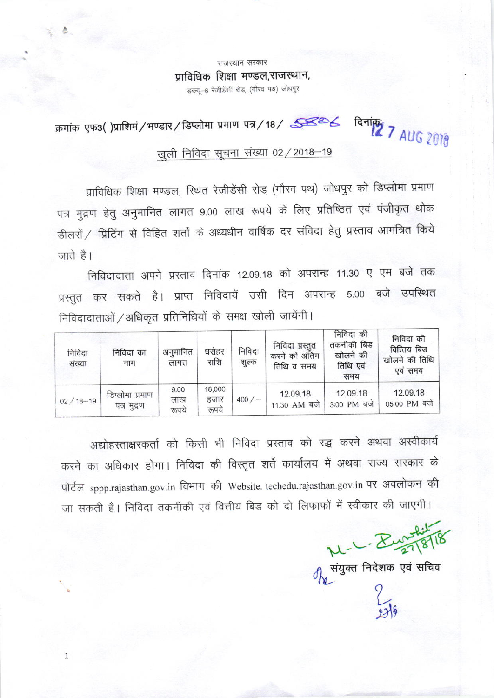राजस्थान सरकार प्राविधिक शिक्षा मण्डल,राजस्थान, डब्ल्यू-6 रेजीडेंसी रोड, (गौरव पथ) जोधपुर

क्रमांक एफ3()प्राशिमं/भण्डार/डिप्लोमा प्रमाण पत्र/18/ <u>इन्ट्र्टिट दिनांकः</u><br>27 AUG 2018

# खुली निविदा सूचना संख्या 02 / 2018-19

प्राविधिक शिक्षा मण्डल, स्थित रेजीडेंसी रोड (गौरव पथ) जोधपुर को डिप्लोमा प्रमाण पत्र मुद्रण हेतु अनुमानित लागत 9.00 लाख रूपये के लिए प्रतिष्ठित एवं पंजीकृत थोक डीलरों / प्रिटिंग से विहित शर्तो के अध्यधीन वार्षिक दर संविदा हेतु प्रस्ताव आमंत्रित किये जाते है।

निविदादाता अपने प्रस्ताव दिनांक 12.09.18 को अपरान्ह 11.30 ए एम बजे तक प्रस्तुत कर सकते है। प्राप्त निविदायें उसी दिन अपरान्ह 5.00 बजे उपस्थित निविदादाताओं / अधिकृत प्रतिनिधियों के समक्ष खोली जायेंगी।

| निविदा<br>संख्या | निविदा का<br>नाम               | अनुमानित<br>लागत     | धरोहर<br>राशि           | निविदा<br>शुल्क | निविदा प्रस्तुत<br>करने की अंतिम<br>तिथि व समय | निविदा की<br>तकनीकी बिड<br>खोलने की<br>तिथि एवं<br>समय | निविदा की<br>वित्तिय बिड<br>खोलने की तिथि<br>एवं समय |
|------------------|--------------------------------|----------------------|-------------------------|-----------------|------------------------------------------------|--------------------------------------------------------|------------------------------------------------------|
| $02/18 - 19$     | डिप्लोमा प्रमाण<br>पत्र मुद्रण | 9.00<br>लाख<br>रूपये | 18,000<br>हजार<br>रूपये | $400 / -$       | 12.09.18<br>11.30 AM बजे                       | 12.09.18<br>3:00 PM बजे                                | 12.09.18<br>05:00 PM बजे                             |

अद्योहस्ताक्षरकर्ता को किसी भी निविदा प्रस्ताव को रद्ध करने अथवा अस्वीकार्य करने का अधिकार होगा। निविदा की विस्तृत शर्ते कार्यालय में अथवा राज्य सरकार के पोर्टल sppp.rajasthan.gov.in विभाग की Website. techedu.rajasthan.gov.in पर अवलोकन की

जा सकती है। निविदा तकनीकी एवं वित्तीय बिड को दो लिफाफों में स्वीकार की जाएगी।

 $\mathbf{1}$ 

 $M - 1 - \frac{184.4}{27.818}$ संयुक्त निदेशक एवं सचिव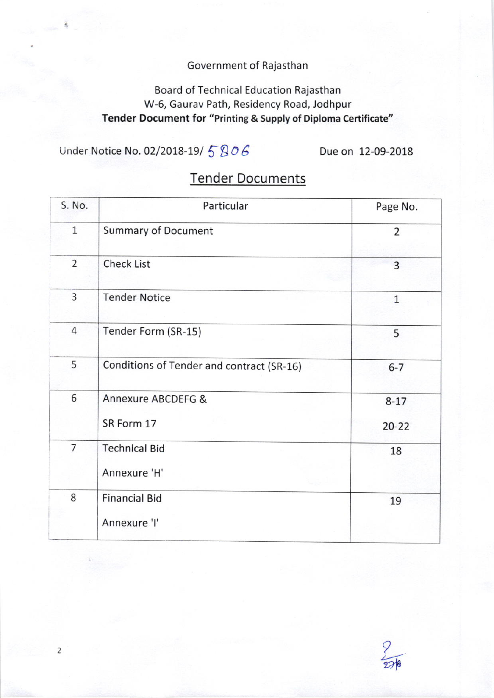## Government of Rajasthan

# Board of Technical Education Rajasthan W-6, Gaurav Path, Residency Road, Jodhpur Tender Document for "Printing & Supply of Diploma Certificate"

Under Notice No. 02/2018-19/  $5806$  Due on 12-09-2018

 $\overline{2}$ 

| S. No.         | Particular                                | Page No.              |  |
|----------------|-------------------------------------------|-----------------------|--|
| $\mathbf{1}$   | <b>Summary of Document</b>                | $\overline{2}$        |  |
| $\overline{2}$ | <b>Check List</b>                         | 3                     |  |
| 3              | <b>Tender Notice</b>                      | $\mathbf{1}$          |  |
| $\overline{4}$ | Tender Form (SR-15)                       | 5                     |  |
| 5              | Conditions of Tender and contract (SR-16) | $6 - 7$               |  |
| 6              | Annexure ABCDEFG &<br>SR Form 17          | $8 - 17$<br>$20 - 22$ |  |
| $\overline{7}$ | <b>Technical Bid</b><br>Annexure 'H'      | 18                    |  |
| 8              | <b>Financial Bid</b><br>Annexure 'I'      | 19                    |  |

# Tender Documents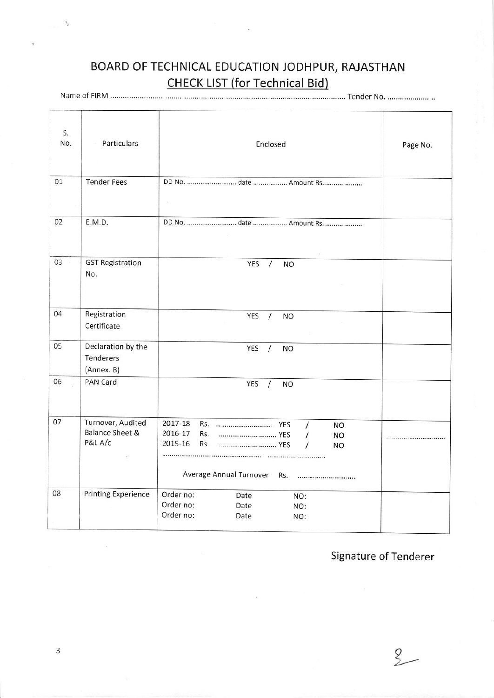# BOARD OF TECHNICAL EDUCATION JODHPUR, RAJASTHAN **CHECK LIST (for Technical Bid)**

| S.<br>No. | Particulars                                                | Enclosed                                                                                                                                                 | Page No. |
|-----------|------------------------------------------------------------|----------------------------------------------------------------------------------------------------------------------------------------------------------|----------|
| 01        | <b>Tender Fees</b>                                         | DD No. date  Amount Rs<br>$\langle \cdot \rangle_{\mathbb{C}}$                                                                                           |          |
| 02        | E.M.D.                                                     | DD No. date  Amount Rs<br>$\mathcal{G}^{\mathbb{C}}$                                                                                                     |          |
| 03        | <b>GST Registration</b><br>No.                             | YES<br><b>NO</b><br>$\prime$                                                                                                                             |          |
| 04        | Registration<br>Certificate                                | YES<br>$\prime$<br><b>NO</b>                                                                                                                             |          |
| 05        | Declaration by the<br>Tenderers<br>(Annex. B)              | YES<br>$\prime$<br><b>NO</b>                                                                                                                             |          |
| 06        | PAN Card                                                   | <b>YES</b><br>$\prime$<br><b>NO</b>                                                                                                                      |          |
| 07        | Turnover, Audited<br><b>Balance Sheet &amp;</b><br>P&L A/c | 2017-18<br>$\prime$<br><b>NO</b><br>2016-17<br>Rs.<br>$\prime$<br><b>NO</b><br>2015-16<br>Rs.<br>$\prime$<br><b>NO</b><br>Average Annual Turnover<br>Rs. |          |
| 08        | <b>Printing Experience</b>                                 | Order no:<br>Date<br>NO:<br>Order no:<br>Date<br>NO:<br>Order no:<br>Date<br>NO:                                                                         |          |

Signature of Tenderer

 $2-$ 

 $\overline{3}$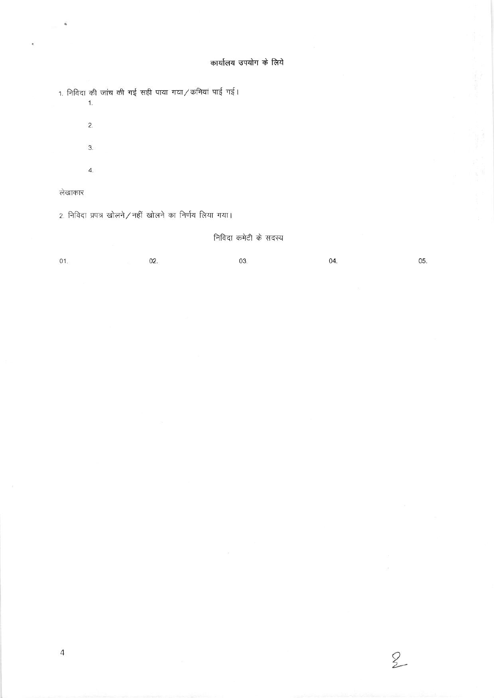#### कार्यालय उपयोग के लिये

1. निविदा की जांच की गई सही पाया गया / कमियां पाई गई।  $\overline{1}$ .

 $\overline{2}$ .

 $3.$ 

 $\overline{4}$ .

#### लेखाकार

 $\hat{\theta}$ 

i.

2. निविदा प्रपत्र खोलने / नहीं खोलने का निर्णय लिया गया।

#### निविदा कमेटी के सदस्य

 $01.$ 

03.

04.

 $2$